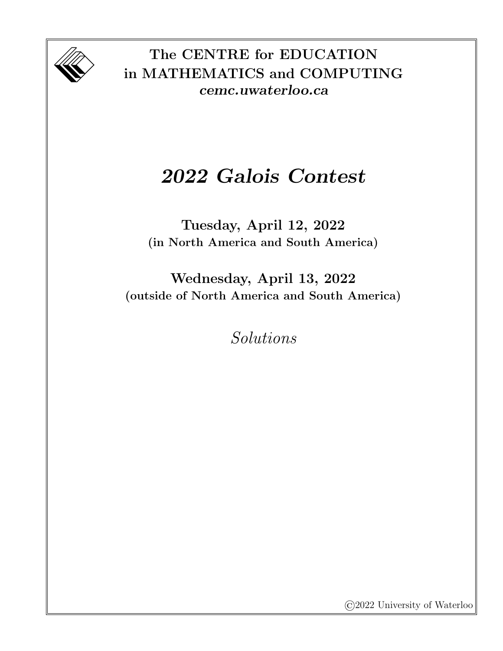

The CENTRE for EDUCATION in MATHEMATICS and COMPUTING cemc.uwaterloo.ca

## 2022 Galois Contest

Tuesday, April 12, 2022 (in North America and South America)

Wednesday, April 13, 2022 (outside of North America and South America)

Solutions

©2022 University of Waterloo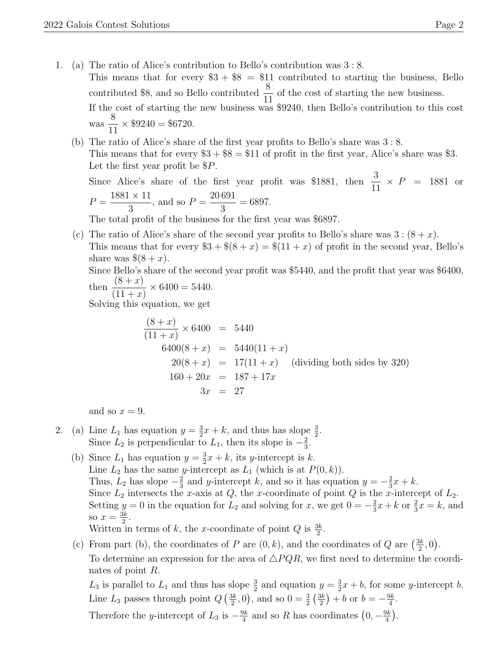- 1. (a) The ratio of Alice's contribution to Bello's contribution was 3 : 8. This means that for every  $$3 + $8 = $11$  contributed to starting the business, Bello contributed \$8, and so Bello contributed  $\frac{8}{11}$ of the cost of starting the new business. If the cost of starting the new business was \$9240, then Bello's contribution to this cost was 8 11  $\times$  \$9240 = \$6720.
	- (b) The ratio of Alice's share of the first year profits to Bello's share was 3 : 8. This means that for every  $\$3 + \$8 = \$11$  of profit in the first year, Alice's share was  $\$3$ . Let the first year profit be  $P$ .

Since Alice's share of the first year profit was \$1881, then  $\frac{3}{11}$  $\times$  *P* = 1881 or  $P =$  $1881 \times 11$ 3 , and so  $P =$ 20 691 3  $= 6897.$ 

The total profit of the business for the first year was \$6897.

(c) The ratio of Alice's share of the second year profits to Bello's share was  $3:(8+x)$ . This means that for every  $\$3 + \$(8 + x) = \$(11 + x)$  of profit in the second year, Bello's share was  $\$(8 + x)$ .

Since Bello's share of the second year profit was \$5440, and the profit that year was \$6400, then  $\frac{(8+x)}{(11+x)} \times 6400 = 5440.$ 

then 
$$
\frac{1}{1+x}
$$
 × 0400 = 0440

Solving this equation, we get

$$
\frac{(8+x)}{(11+x)} \times 6400 = 5440
$$
  
\n
$$
6400(8+x) = 5440(11+x)
$$
  
\n
$$
20(8+x) = 17(11+x)
$$
 (dividing both sides by 320)  
\n
$$
160 + 20x = 187 + 17x
$$
  
\n
$$
3x = 27
$$

and so  $x = 9$ .

- 2. (a) Line  $L_1$  has equation  $y = \frac{3}{2}$  $\frac{3}{2}x + k$ , and thus has slope  $\frac{3}{2}$ . Since  $L_2$  is perpendicular to  $L_1$ , then its slope is  $-\frac{2}{3}$  $\frac{2}{3}$ .
	- (b) Since  $L_1$  has equation  $y = \frac{3}{2}$  $\frac{3}{2}x + k$ , its *y*-intercept is *k*. Line  $L_2$  has the same y-intercept as  $L_1$  (which is at  $P(0, k)$ ). Thus,  $L_2$  has slope  $-\frac{2}{3}$  $\frac{2}{3}$  and y-intercept k, and so it has equation  $y = -\frac{2}{3}$  $\frac{2}{3}x+k$ . Since  $L_2$  intersects the x-axis at  $Q$ , the x-coordinate of point  $Q$  is the x-intercept of  $L_2$ . Setting  $y = 0$  in the equation for  $L_2$  and solving for x, we get  $0 = -\frac{2}{3}$  $\frac{2}{3}x + k$  or  $\frac{2}{3}x = k$ , and so  $x=\frac{3k}{2}$  $\frac{3k}{2}$ . Written in terms of k, the x-coordinate of point Q is  $\frac{3k}{2}$ .
	- (c) From part (b), the coordinates of P are  $(0, k)$ , and the coordinates of Q are  $\left(\frac{3k}{2}\right)$  $\frac{3k}{2},0$ ). To determine an expression for the area of  $\triangle PQR$ , we first need to determine the coordinates of point R.

 $L_3$  is parallel to  $L_1$  and thus has slope  $\frac{3}{2}$  and equation  $y = \frac{3}{2}$  $\frac{3}{2}x + b$ , for some *y*-intercept *b*. Line  $L_3$  passes through point  $Q\left(\frac{3k}{2}\right)$  $\frac{3k}{2}$ , 0), and so  $0 = \frac{3}{2} \left( \frac{3k}{2} \right)$  $(\frac{3k}{2}) + b$  or  $b = -\frac{9k}{4}$  $\frac{3k}{4}$ .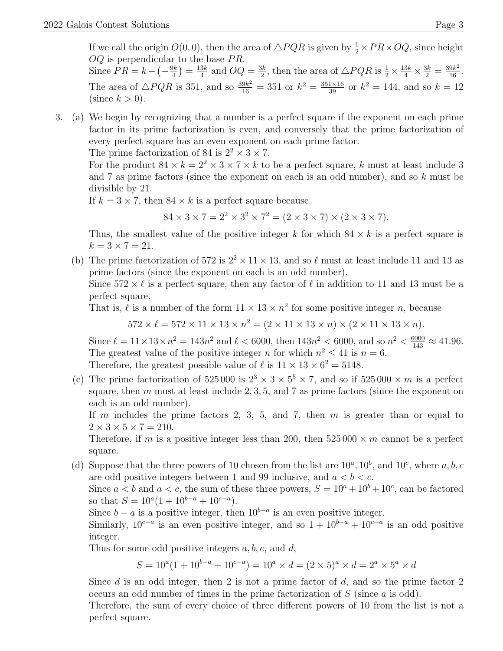If we call the origin  $O(0,0)$ , then the area of  $\triangle PQR$  is given by  $\frac{1}{2} \times PR \times OQ$ , since height  $OQ$  is perpendicular to the base  $PR$ . Since  $PR = k - \left(-\frac{9k}{4}\right)$  $\frac{9k}{4}$ )  $=$   $\frac{13k}{4}$  $\frac{3k}{4}$  and  $OQ = \frac{3k}{2}$  $\frac{3k}{2}$ , then the area of  $\triangle PQR$  is  $\frac{1}{2} \times \frac{13k}{4} \times \frac{3k}{2} = \frac{39k^2}{16}$ .

The area of  $\triangle PQR$  is 351, and so  $\frac{39k^2}{16} = 351$  or  $k^2 = \frac{351\times16}{39}$  or  $k^2 = 144$ , and so  $k = 12$ (since  $k > 0$ ).

3. (a) We begin by recognizing that a number is a perfect square if the exponent on each prime factor in its prime factorization is even, and conversely that the prime factorization of every perfect square has an even exponent on each prime factor.

The prime factorization of 84 is  $2^2 \times 3 \times 7$ .

For the product  $84 \times k = 2^2 \times 3 \times 7 \times k$  to be a perfect square, k must at least include 3 and 7 as prime factors (since the exponent on each is an odd number), and so k must be divisible by 21.

If  $k = 3 \times 7$ , then  $84 \times k$  is a perfect square because

 $84 \times 3 \times 7 = 2^2 \times 3^2 \times 7^2 = (2 \times 3 \times 7) \times (2 \times 3 \times 7).$ 

Thus, the smallest value of the positive integer k for which  $84 \times k$  is a perfect square is  $k = 3 \times 7 = 21.$ 

(b) The prime factorization of 572 is  $2^2 \times 11 \times 13$ , and so  $\ell$  must at least include 11 and 13 as prime factors (since the exponent on each is an odd number).

Since  $572 \times \ell$  is a perfect square, then any factor of  $\ell$  in addition to 11 and 13 must be a perfect square.

That is,  $\ell$  is a number of the form  $11 \times 13 \times n^2$  for some positive integer n, because

 $572 \times \ell = 572 \times 11 \times 13 \times n^2 = (2 \times 11 \times 13 \times n) \times (2 \times 11 \times 13 \times n).$ 

Since  $\ell = 11 \times 13 \times n^2 = 143n^2$  and  $\ell < 6000$ , then  $143n^2 < 6000$ , and so  $n^2 < \frac{6000}{143} \approx 41.96$ . The greatest value of the positive integer *n* for which  $n^2 \leq 41$  is  $n = 6$ . Therefore, the greatest possible value of  $\ell$  is  $11 \times 13 \times 6^2 = 5148$ .

(c) The prime factorization of  $525000$  is  $2^3 \times 3 \times 5^5 \times 7$ , and so if  $525000 \times m$  is a perfect square, then  $m$  must at least include 2, 3, 5, and 7 as prime factors (since the exponent on each is an odd number).

If m includes the prime factors 2, 3, 5, and 7, then  $m$  is greater than or equal to  $2 \times 3 \times 5 \times 7 = 210$ .

Therefore, if m is a positive integer less than 200, then  $525\,000 \times m$  cannot be a perfect square.

(d) Suppose that the three powers of 10 chosen from the list are  $10^a$ ,  $10^b$ , and  $10^c$ , where a, b, c are odd positive integers between 1 and 99 inclusive, and  $a < b < c$ .

Since  $a < b$  and  $a < c$ , the sum of these three powers,  $S = 10^a + 10^b + 10^c$ , can be factored so that  $S = 10^a (1 + 10^{b-a} + 10^{c-a}).$ 

Since  $b - a$  is a positive integer, then  $10^{b-a}$  is an even positive integer.

Similarly,  $10^{c-a}$  is an even positive integer, and so  $1 + 10^{b-a} + 10^{c-a}$  is an odd positive integer.

Thus for some odd positive integers  $a, b, c$ , and  $d$ ,

$$
S = 10^{a}(1 + 10^{b-a} + 10^{c-a}) = 10^{a} \times d = (2 \times 5)^{a} \times d = 2^{a} \times 5^{a} \times d
$$

Since  $d$  is an odd integer, then 2 is not a prime factor of  $d$ , and so the prime factor 2 occurs an odd number of times in the prime factorization of  $S$  (since  $a$  is odd).

Therefore, the sum of every choice of three different powers of 10 from the list is not a perfect square.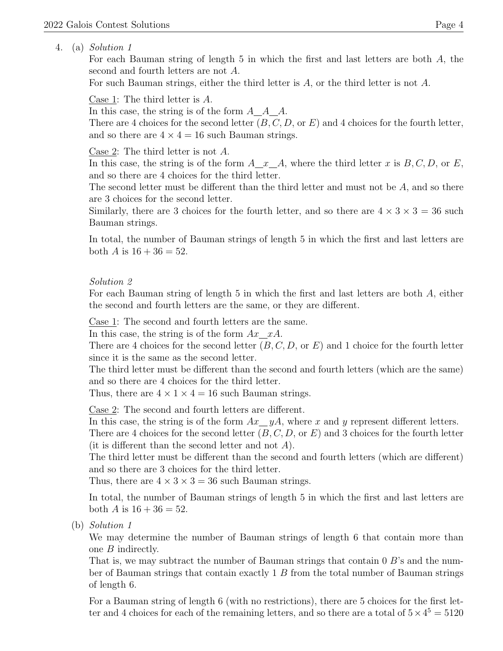## 4. (a) Solution 1

For each Bauman string of length 5 in which the first and last letters are both A, the second and fourth letters are not A.

For such Bauman strings, either the third letter is  $A$ , or the third letter is not  $A$ .

Case 1: The third letter is A.

In this case, the string is of the form  $A_{\mathcal{A}} A_{\mathcal{A}} A$ .

There are 4 choices for the second letter  $(B, C, D, \text{or } E)$  and 4 choices for the fourth letter, and so there are  $4 \times 4 = 16$  such Bauman strings.

Case 2: The third letter is not A.

In this case, the string is of the form  $A \ x \ A$ , where the third letter x is  $B, C, D$ , or E, and so there are 4 choices for the third letter.

The second letter must be different than the third letter and must not be A, and so there are 3 choices for the second letter.

Similarly, there are 3 choices for the fourth letter, and so there are  $4 \times 3 \times 3 = 36$  such Bauman strings.

In total, the number of Bauman strings of length 5 in which the first and last letters are both A is  $16 + 36 = 52$ .

## Solution 2

For each Bauman string of length 5 in which the first and last letters are both A, either the second and fourth letters are the same, or they are different.

Case 1: The second and fourth letters are the same.

In this case, the string is of the form  $Ax \_\ xA$ .

There are 4 choices for the second letter  $(B, C, D, \text{or } E)$  and 1 choice for the fourth letter since it is the same as the second letter.

The third letter must be different than the second and fourth letters (which are the same) and so there are 4 choices for the third letter.

Thus, there are  $4 \times 1 \times 4 = 16$  such Bauman strings.

Case 2: The second and fourth letters are different.

In this case, the string is of the form  $Ax \, yA$ , where x and y represent different letters.

There are 4 choices for the second letter  $(B, C, D, \text{or } E)$  and 3 choices for the fourth letter (it is different than the second letter and not  $A$ ).

The third letter must be different than the second and fourth letters (which are different) and so there are 3 choices for the third letter.

Thus, there are  $4 \times 3 \times 3 = 36$  such Bauman strings.

In total, the number of Bauman strings of length 5 in which the first and last letters are both A is  $16 + 36 = 52$ .

(b) Solution 1

We may determine the number of Bauman strings of length 6 that contain more than one B indirectly.

That is, we may subtract the number of Bauman strings that contain 0 B's and the number of Bauman strings that contain exactly 1 B from the total number of Bauman strings of length 6.

For a Bauman string of length 6 (with no restrictions), there are 5 choices for the first letter and 4 choices for each of the remaining letters, and so there are a total of  $5 \times 4^5 = 5120$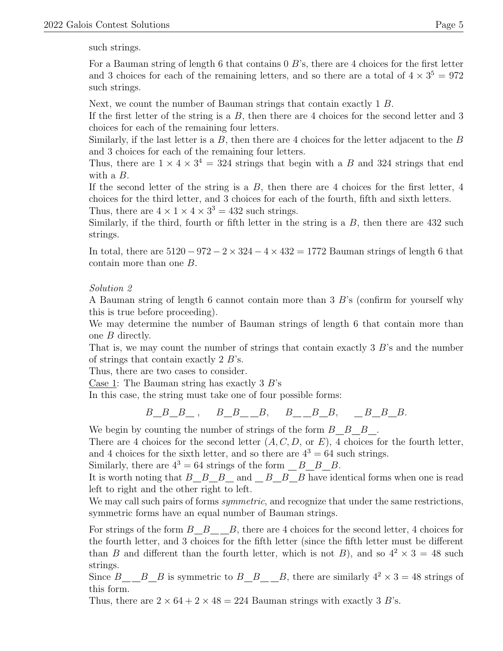such strings.

For a Bauman string of length 6 that contains  $0 \, B$ 's, there are 4 choices for the first letter and 3 choices for each of the remaining letters, and so there are a total of  $4 \times 3^5 = 972$ such strings.

Next, we count the number of Bauman strings that contain exactly 1 B.

If the first letter of the string is a  $B$ , then there are 4 choices for the second letter and 3 choices for each of the remaining four letters.

Similarly, if the last letter is a  $B$ , then there are 4 choices for the letter adjacent to the  $B$ and 3 choices for each of the remaining four letters.

Thus, there are  $1 \times 4 \times 3^4 = 324$  strings that begin with a B and 324 strings that end with a B.

If the second letter of the string is a  $B$ , then there are 4 choices for the first letter, 4 choices for the third letter, and 3 choices for each of the fourth, fifth and sixth letters. Thus, there are  $4 \times 1 \times 4 \times 3^3 = 432$  such strings.

Similarly, if the third, fourth or fifth letter in the string is a  $B$ , then there are 432 such strings.

In total, there are  $5120 - 972 - 2 \times 324 - 4 \times 432 = 1772$  Bauman strings of length 6 that contain more than one B.

## Solution 2

A Bauman string of length 6 cannot contain more than 3 B's (confirm for yourself why this is true before proceeding).

We may determine the number of Bauman strings of length 6 that contain more than one B directly.

That is, we may count the number of strings that contain exactly  $3 \cdot B$ 's and the number of strings that contain exactly 2 B's.

Thus, there are two cases to consider.

Case 1: The Bauman string has exactly  $3 B$ 's

In this case, the string must take one of four possible forms:

$$
B\_B\_B_-, \qquad B\_B_,\_B, \qquad B_,\_B\_B_,\_B\_B_-, \qquad B\_B\_B_-,
$$

We begin by counting the number of strings of the form  $B \quad B \quad B$ .

There are 4 choices for the second letter  $(A, C, D, \text{ or } E)$ , 4 choices for the fourth letter, and 4 choices for the sixth letter, and so there are  $4^3 = 64$  such strings.

Similarly, there are  $4^3 = 64$  strings of the form  $B$  B.

It is worth noting that  $B \_ B \_ B \_ and \_ B \_ B \_ B$  have identical forms when one is read left to right and the other right to left.

We may call such pairs of forms *symmetric*, and recognize that under the same restrictions, symmetric forms have an equal number of Bauman strings.

For strings of the form  $B$   $B$   $B$ , there are 4 choices for the second letter, 4 choices for the fourth letter, and 3 choices for the fifth letter (since the fifth letter must be different than B and different than the fourth letter, which is not B), and so  $4^2 \times 3 = 48$  such strings.

Since B B B is symmetric to B B B, there are similarly  $4^2 \times 3 = 48$  strings of this form.

Thus, there are  $2 \times 64 + 2 \times 48 = 224$  Bauman strings with exactly 3 B's.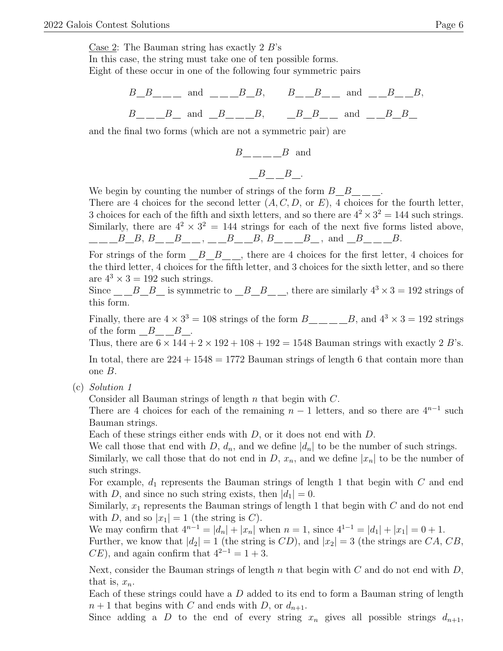In this case, the string must take one of ten possible forms. Eight of these occur in one of the following four symmetric pairs

> $B\_B$ <sub>\_\_\_</sub> and \_\_\_\_B\_B, B\_\_B\_\_ and \_\_B\_\_B,  $B \_ B \_ B$  and  $B \_ B \_ B \_ B$  and  $B \_ B \_ B$

and the final two forms (which are not a symmetric pair) are

$$
B_{---} - B
$$
 and  

$$
B_{---}B_{---}
$$

We begin by counting the number of strings of the form  $B_{B_{\text{max}}}$ .

There are 4 choices for the second letter  $(A, C, D, \text{ or } E)$ , 4 choices for the fourth letter, 3 choices for each of the fifth and sixth letters, and so there are  $4^2 \times 3^2 = 144$  such strings. Similarly, there are  $4^2 \times 3^2 = 144$  strings for each of the next five forms listed above,  $B \_ B, B \_ B, \_$ 

For strings of the form  $B_B_{\ldots}$ , there are 4 choices for the first letter, 4 choices for the third letter, 4 choices for the fifth letter, and 3 choices for the sixth letter, and so there are  $4^3 \times 3 = 192$  such strings.

Since  $B_{B}$  is symmetric to  $B_{B}$ , there are similarly  $4^3 \times 3 = 192$  strings of this form.

Finally, there are  $4 \times 3^3 = 108$  strings of the form  $B_{\text{max}} = B$ , and  $4^3 \times 3 = 192$  strings of the form  $B_{--}B_{--}$ .

Thus, there are  $6 \times 144 + 2 \times 192 + 108 + 192 = 1548$  Bauman strings with exactly 2 B's.

In total, there are  $224 + 1548 = 1772$  Bauman strings of length 6 that contain more than one B.

(c) Solution 1

Consider all Bauman strings of length n that begin with C.

There are 4 choices for each of the remaining  $n-1$  letters, and so there are  $4^{n-1}$  such Bauman strings.

Each of these strings either ends with  $D$ , or it does not end with  $D$ .

We call those that end with D,  $d_n$ , and we define  $|d_n|$  to be the number of such strings.

Similarly, we call those that do not end in D,  $x_n$ , and we define  $|x_n|$  to be the number of such strings.

For example,  $d_1$  represents the Bauman strings of length 1 that begin with  $C$  and end with D, and since no such string exists, then  $|d_1| = 0$ .

Similarly,  $x_1$  represents the Bauman strings of length 1 that begin with  $C$  and do not end with D, and so  $|x_1|=1$  (the string is C).

We may confirm that  $4^{n-1} = |d_n| + |x_n|$  when  $n = 1$ , since  $4^{1-1} = |d_1| + |x_1| = 0 + 1$ . Further, we know that  $|d_2|=1$  (the string is CD), and  $|x_2|=3$  (the strings are CA, CB,  $CE$ ), and again confirm that  $4^{2-1} = 1 + 3$ .

Next, consider the Bauman strings of length n that begin with  $C$  and do not end with  $D$ , that is,  $x_n$ .

Each of these strings could have a  $D$  added to its end to form a Bauman string of length  $n+1$  that begins with C and ends with D, or  $d_{n+1}$ .

Since adding a D to the end of every string  $x_n$  gives all possible strings  $d_{n+1}$ ,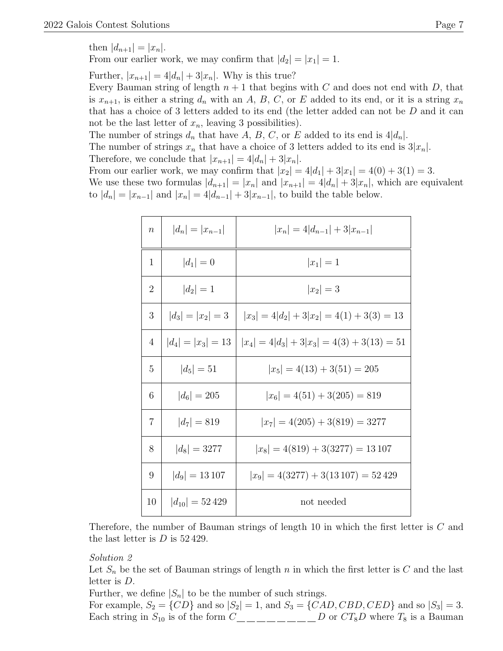then  $|d_{n+1}| = |x_n|$ .

From our earlier work, we may confirm that  $|d_2| = |x_1| = 1$ .

Further,  $|x_{n+1}| = 4|d_n| + 3|x_n|$ . Why is this true?

Every Bauman string of length  $n + 1$  that begins with C and does not end with D, that is  $x_{n+1}$ , is either a string  $d_n$  with an A, B, C, or E added to its end, or it is a string  $x_n$ that has a choice of 3 letters added to its end (the letter added can not be  $D$  and it can not be the last letter of  $x_n$ , leaving 3 possibilities).

The number of strings  $d_n$  that have  $A, B, C$ , or E added to its end is  $4|d_n|$ .

The number of strings  $x_n$  that have a choice of 3 letters added to its end is  $3|x_n|$ .

Therefore, we conclude that  $|x_{n+1}| = 4|d_n| + 3|x_n|$ .

From our earlier work, we may confirm that  $|x_2| = 4|d_1| + 3|x_1| = 4(0) + 3(1) = 3$ . We use these two formulas  $|d_{n+1}| = |x_n|$  and  $|x_{n+1}| = 4|d_n| + 3|x_n|$ , which are equivalent to  $|d_n| = |x_{n-1}|$  and  $|x_n| = 4|d_{n-1}| + 3|x_{n-1}|$ , to build the table below.

| $\boldsymbol{n}$ | $ d_n  =  x_{n-1} $  | $ x_n =4 d_{n-1} +3 x_{n-1} $                                        |
|------------------|----------------------|----------------------------------------------------------------------|
| 1                | $ d_1 =0$            | $ x_1 =1$                                                            |
| $\overline{2}$   | $ d_2 =1$            | $ x_2 =3$                                                            |
| 3                |                      | $ d_3  =  x_2  = 3 \quad  x_3  = 4 d_2  + 3 x_2  = 4(1) + 3(3) = 13$ |
| 4                | $ d_4  =  x_3  = 13$ | $ x_4  = 4 d_3  + 3 x_3  = 4(3) + 3(13) = 51$                        |
| 5                | $ d_5 =51$           | $ x_5  = 4(13) + 3(51) = 205$                                        |
| 6                | $ d_6  = 205$        | $ x_6  = 4(51) + 3(205) = 819$                                       |
| 7                | $ d_7  = 819$        | $ x_7  = 4(205) + 3(819) = 3277$                                     |
| 8                | $ d_8  = 3277$       | $ x_8  = 4(819) + 3(3277) = 13107$                                   |
| 9                | $ d_9 =13\,107$      | $ x_9  = 4(3277) + 3(13107) = 52429$                                 |
| 10               | $ d_{10}  = 52\,429$ | not needed                                                           |

Therefore, the number of Bauman strings of length 10 in which the first letter is C and the last letter is  $D$  is  $52\,429$ .

Solution 2

Let  $S_n$  be the set of Bauman strings of length n in which the first letter is C and the last letter is D.

Further, we define  $|S_n|$  to be the number of such strings.

For example,  $S_2 = \{CD\}$  and so  $|S_2| = 1$ , and  $S_3 = \{CAD, CBD, CED\}$  and so  $|S_3| = 3$ . Each string in  $S_{10}$  is of the form  $C_{\text{max}} = C_{\text{max}} = D$  or  $CT_8D$  where  $T_8$  is a Bauman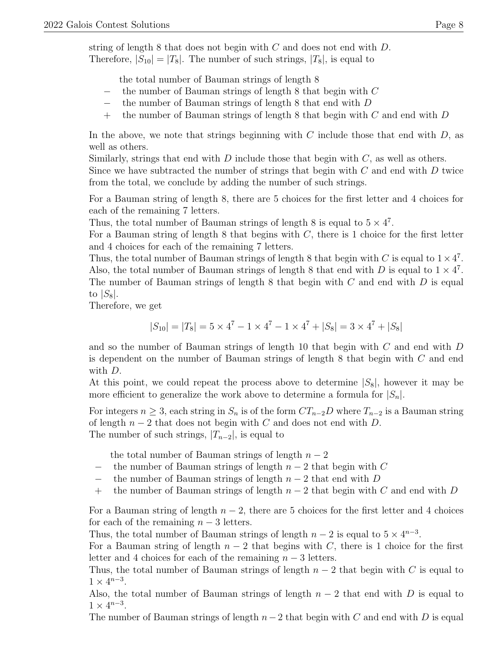string of length 8 that does not begin with  $C$  and does not end with  $D$ . Therefore,  $|S_{10}| = |T_8|$ . The number of such strings,  $|T_8|$ , is equal to

the total number of Bauman strings of length 8

- − the number of Bauman strings of length 8 that begin with C
- the number of Bauman strings of length 8 that end with  $D$
- $+$  the number of Bauman strings of length 8 that begin with C and end with D

In the above, we note that strings beginning with  $C$  include those that end with  $D$ , as well as others.

Similarly, strings that end with  $D$  include those that begin with  $C$ , as well as others.

Since we have subtracted the number of strings that begin with  $C$  and end with  $D$  twice from the total, we conclude by adding the number of such strings.

For a Bauman string of length 8, there are 5 choices for the first letter and 4 choices for each of the remaining 7 letters.

Thus, the total number of Bauman strings of length 8 is equal to  $5 \times 4^7$ .

For a Bauman string of length  $8$  that begins with  $C$ , there is 1 choice for the first letter and 4 choices for each of the remaining 7 letters.

Thus, the total number of Bauman strings of length 8 that begin with C is equal to  $1 \times 4^7$ . Also, the total number of Bauman strings of length 8 that end with D is equal to  $1 \times 4^7$ . The number of Bauman strings of length 8 that begin with  $C$  and end with  $D$  is equal to  $|S_8|$ .

Therefore, we get

$$
|S_{10}| = |T_8| = 5 \times 4^7 - 1 \times 4^7 - 1 \times 4^7 + |S_8| = 3 \times 4^7 + |S_8|
$$

and so the number of Bauman strings of length 10 that begin with  $C$  and end with  $D$ is dependent on the number of Bauman strings of length 8 that begin with C and end with D.

At this point, we could repeat the process above to determine  $|S_8|$ , however it may be more efficient to generalize the work above to determine a formula for  $|S_n|$ .

For integers  $n \geq 3$ , each string in  $S_n$  is of the form  $CT_{n-2}D$  where  $T_{n-2}$  is a Bauman string of length  $n-2$  that does not begin with C and does not end with D. The number of such strings,  $|T_{n-2}|$ , is equal to

the total number of Bauman strings of length  $n-2$ 

- $-$  the number of Bauman strings of length  $n-2$  that begin with C
- − the number of Bauman strings of length  $n-2$  that end with D
- + the number of Bauman strings of length  $n-2$  that begin with C and end with D

For a Bauman string of length  $n-2$ , there are 5 choices for the first letter and 4 choices for each of the remaining  $n-3$  letters.

Thus, the total number of Bauman strings of length  $n-2$  is equal to  $5 \times 4^{n-3}$ .

For a Bauman string of length  $n-2$  that begins with C, there is 1 choice for the first letter and 4 choices for each of the remaining  $n-3$  letters.

Thus, the total number of Bauman strings of length  $n-2$  that begin with C is equal to  $1 \times 4^{n-3}$ .

Also, the total number of Bauman strings of length  $n-2$  that end with D is equal to  $1 \times 4^{n-3}$ .

The number of Bauman strings of length  $n-2$  that begin with C and end with D is equal